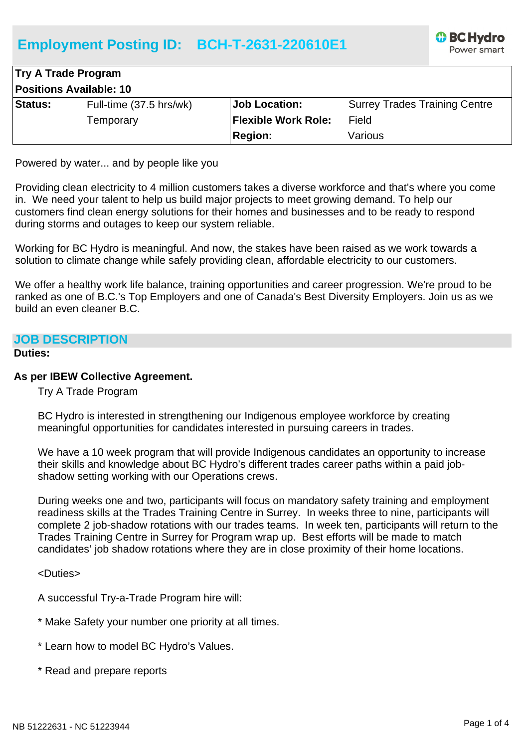# **Employment Posting ID: BCH-T-2631-220610E1**



| <b>Try A Trade Program</b>     |                         |                            |                                      |
|--------------------------------|-------------------------|----------------------------|--------------------------------------|
| <b>Positions Available: 10</b> |                         |                            |                                      |
| <b>Status:</b>                 | Full-time (37.5 hrs/wk) | <b>Job Location:</b>       | <b>Surrey Trades Training Centre</b> |
|                                | Temporary               | <b>Flexible Work Role:</b> | Field                                |
|                                |                         | <b>Region:</b>             | Various                              |

Powered by water... and by people like you

Providing clean electricity to 4 million customers takes a diverse workforce and that's where you come in. We need your talent to help us build major projects to meet growing demand. To help our customers find clean energy solutions for their homes and businesses and to be ready to respond during storms and outages to keep our system reliable.

Working for BC Hydro is meaningful. And now, the stakes have been raised as we work towards a solution to climate change while safely providing clean, affordable electricity to our customers.

We offer a healthy work life balance, training opportunities and career progression. We're proud to be ranked as one of B.C.'s Top Employers and one of Canada's Best Diversity Employers. Join us as we build an even cleaner B.C.

#### **JOB DESCRIPTION**

#### **Duties:**

#### **As per IBEW Collective Agreement.**

Try A Trade Program

BC Hydro is interested in strengthening our Indigenous employee workforce by creating meaningful opportunities for candidates interested in pursuing careers in trades.

We have a 10 week program that will provide Indigenous candidates an opportunity to increase their skills and knowledge about BC Hydro's different trades career paths within a paid jobshadow setting working with our Operations crews.

During weeks one and two, participants will focus on mandatory safety training and employment readiness skills at the Trades Training Centre in Surrey. In weeks three to nine, participants will complete 2 job-shadow rotations with our trades teams. In week ten, participants will return to the Trades Training Centre in Surrey for Program wrap up. Best efforts will be made to match candidates' job shadow rotations where they are in close proximity of their home locations.

<Duties>

A successful Try-a-Trade Program hire will:

- \* Make Safety your number one priority at all times.
- \* Learn how to model BC Hydro's Values.
- \* Read and prepare reports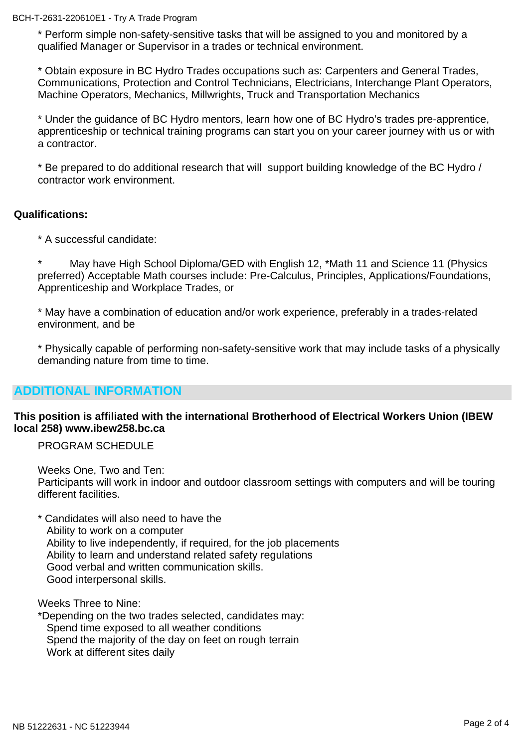BCH-T-2631-220610E1 - Try A Trade Program

\* Perform simple non-safety-sensitive tasks that will be assigned to you and monitored by a qualified Manager or Supervisor in a trades or technical environment.

\* Obtain exposure in BC Hydro Trades occupations such as: Carpenters and General Trades, Communications, Protection and Control Technicians, Electricians, Interchange Plant Operators, Machine Operators, Mechanics, Millwrights, Truck and Transportation Mechanics

\* Under the guidance of BC Hydro mentors, learn how one of BC Hydro's trades pre-apprentice, apprenticeship or technical training programs can start you on your career journey with us or with a contractor.

\* Be prepared to do additional research that will support building knowledge of the BC Hydro / contractor work environment.

### **Qualifications:**

\* A successful candidate:

\* May have High School Diploma/GED with English 12, \*Math 11 and Science 11 (Physics preferred) Acceptable Math courses include: Pre-Calculus, Principles, Applications/Foundations, Apprenticeship and Workplace Trades, or

\* May have a combination of education and/or work experience, preferably in a trades-related environment, and be

\* Physically capable of performing non-safety-sensitive work that may include tasks of a physically demanding nature from time to time.

## **ADDITIONAL INFORMATION**

### **This position is affiliated with the international Brotherhood of Electrical Workers Union (IBEW local 258) www.ibew258.bc.ca**

PROGRAM SCHEDULE

Weeks One, Two and Ten: Participants will work in indoor and outdoor classroom settings with computers and will be touring different facilities.

\* Candidates will also need to have the Ability to work on a computer Ability to live independently, if required, for the job placements Ability to learn and understand related safety regulations Good verbal and written communication skills. Good interpersonal skills.

Weeks Three to Nine:

\*Depending on the two trades selected, candidates may: Spend time exposed to all weather conditions Spend the majority of the day on feet on rough terrain Work at different sites daily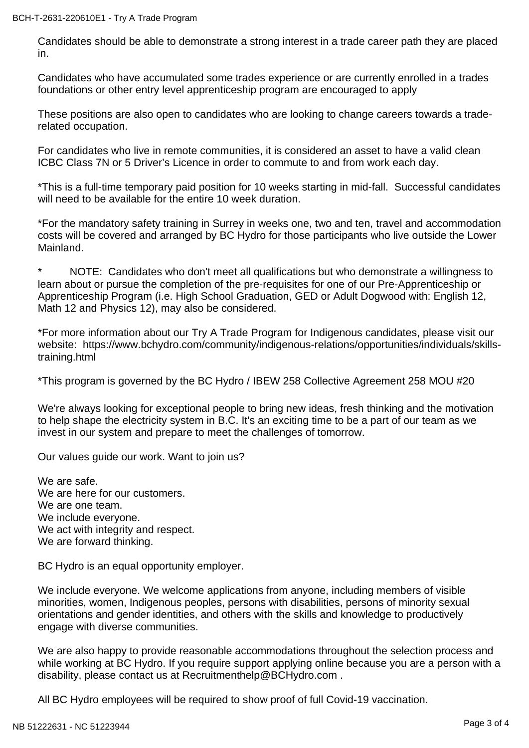#### BCH-T-2631-220610E1 - Try A Trade Program

Candidates should be able to demonstrate a strong interest in a trade career path they are placed in.

Candidates who have accumulated some trades experience or are currently enrolled in a trades foundations or other entry level apprenticeship program are encouraged to apply

These positions are also open to candidates who are looking to change careers towards a traderelated occupation.

For candidates who live in remote communities, it is considered an asset to have a valid clean ICBC Class 7N or 5 Driver's Licence in order to commute to and from work each day.

\*This is a full-time temporary paid position for 10 weeks starting in mid-fall. Successful candidates will need to be available for the entire 10 week duration.

\*For the mandatory safety training in Surrey in weeks one, two and ten, travel and accommodation costs will be covered and arranged by BC Hydro for those participants who live outside the Lower Mainland.

NOTE: Candidates who don't meet all qualifications but who demonstrate a willingness to learn about or pursue the completion of the pre-requisites for one of our Pre-Apprenticeship or Apprenticeship Program (i.e. High School Graduation, GED or Adult Dogwood with: English 12, Math 12 and Physics 12), may also be considered.

\*For more information about our Try A Trade Program for Indigenous candidates, please visit our website: https://www.bchydro.com/community/indigenous-relations/opportunities/individuals/skillstraining.html

\*This program is governed by the BC Hydro / IBEW 258 Collective Agreement 258 MOU #20

We're always looking for exceptional people to bring new ideas, fresh thinking and the motivation to help shape the electricity system in B.C. It's an exciting time to be a part of our team as we invest in our system and prepare to meet the challenges of tomorrow.

Our values guide our work. Want to join us?

We are safe. We are here for our customers. We are one team. We include everyone. We act with integrity and respect. We are forward thinking.

BC Hydro is an equal opportunity employer.

We include everyone. We welcome applications from anyone, including members of visible minorities, women, Indigenous peoples, persons with disabilities, persons of minority sexual orientations and gender identities, and others with the skills and knowledge to productively engage with diverse communities.

We are also happy to provide reasonable accommodations throughout the selection process and while working at BC Hydro. If you require support applying online because you are a person with a disability, please contact us at Recruitmenthelp@BCHydro.com .

All BC Hydro employees will be required to show proof of full Covid-19 vaccination.